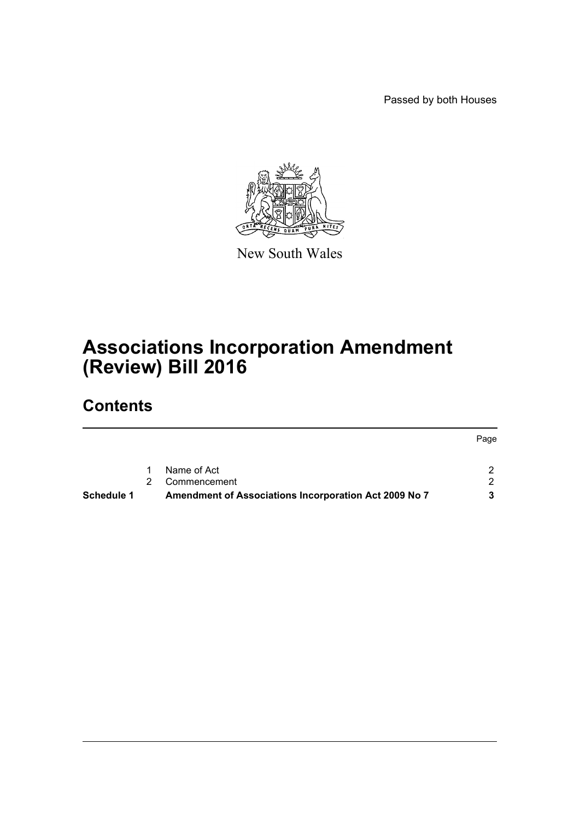Passed by both Houses

Page



New South Wales

# **Associations Incorporation Amendment (Review) Bill 2016**

# **Contents**

| Name of Act<br>2 Commencement | Schedule 1 | Amendment of Associations Incorporation Act 2009 No 7 |  |
|-------------------------------|------------|-------------------------------------------------------|--|
|                               |            |                                                       |  |
|                               |            |                                                       |  |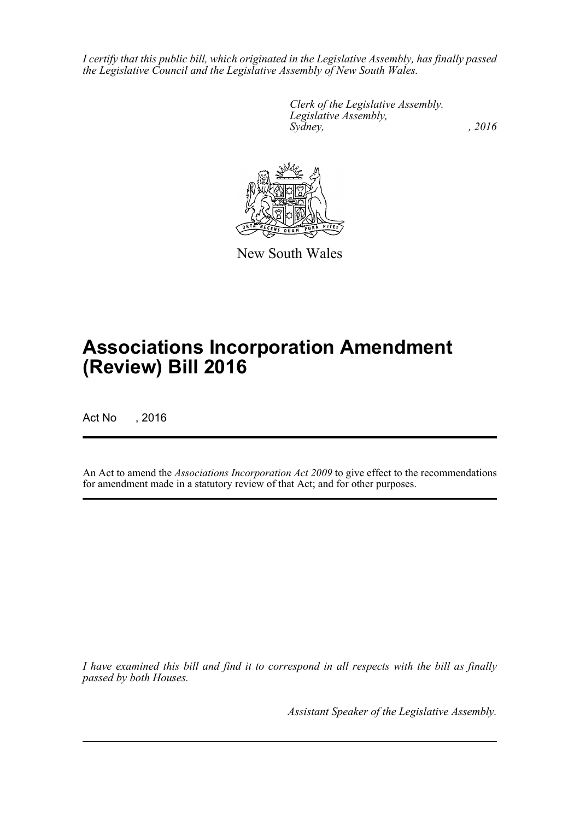*I certify that this public bill, which originated in the Legislative Assembly, has finally passed the Legislative Council and the Legislative Assembly of New South Wales.*

> *Clerk of the Legislative Assembly. Legislative Assembly, Sydney,* , 2016



New South Wales

# **Associations Incorporation Amendment (Review) Bill 2016**

Act No , 2016

An Act to amend the *Associations Incorporation Act 2009* to give effect to the recommendations for amendment made in a statutory review of that Act; and for other purposes.

*I have examined this bill and find it to correspond in all respects with the bill as finally passed by both Houses.*

*Assistant Speaker of the Legislative Assembly.*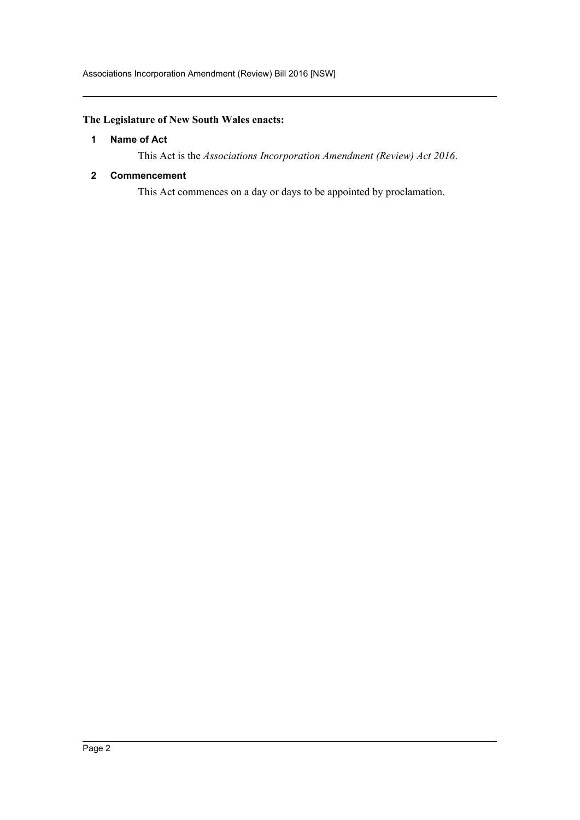# <span id="page-2-0"></span>**The Legislature of New South Wales enacts:**

## **1 Name of Act**

This Act is the *Associations Incorporation Amendment (Review) Act 2016*.

## <span id="page-2-1"></span>**2 Commencement**

This Act commences on a day or days to be appointed by proclamation.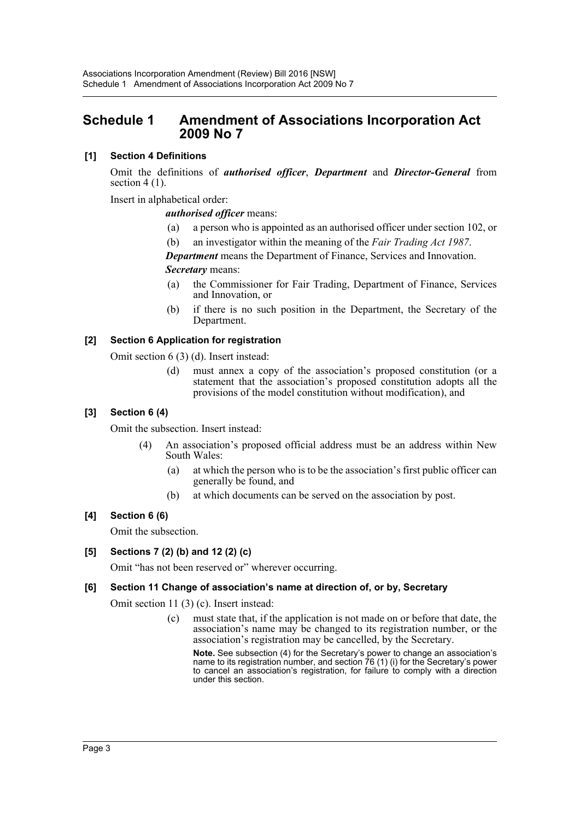# <span id="page-3-0"></span>**Schedule 1 Amendment of Associations Incorporation Act 2009 No 7**

## **[1] Section 4 Definitions**

Omit the definitions of *authorised officer*, *Department* and *Director-General* from section 4 (1).

Insert in alphabetical order:

#### *authorised officer* means:

- (a) a person who is appointed as an authorised officer under section 102, or
- (b) an investigator within the meaning of the *Fair Trading Act 1987*.

*Department* means the Department of Finance, Services and Innovation. *Secretary* means:

- (a) the Commissioner for Fair Trading, Department of Finance, Services and Innovation, or
- (b) if there is no such position in the Department, the Secretary of the Department.

## **[2] Section 6 Application for registration**

Omit section 6 (3) (d). Insert instead:

(d) must annex a copy of the association's proposed constitution (or a statement that the association's proposed constitution adopts all the provisions of the model constitution without modification), and

#### **[3] Section 6 (4)**

Omit the subsection. Insert instead:

- (4) An association's proposed official address must be an address within New South Wales:
	- (a) at which the person who is to be the association's first public officer can generally be found, and
	- (b) at which documents can be served on the association by post.

#### **[4] Section 6 (6)**

Omit the subsection.

## **[5] Sections 7 (2) (b) and 12 (2) (c)**

Omit "has not been reserved or" wherever occurring.

#### **[6] Section 11 Change of association's name at direction of, or by, Secretary**

Omit section 11 (3) (c). Insert instead:

(c) must state that, if the application is not made on or before that date, the association's name may be changed to its registration number, or the association's registration may be cancelled, by the Secretary.

**Note.** See subsection (4) for the Secretary's power to change an association's name to its registration number, and section 76 (1) (i) for the Secretary's power to cancel an association's registration, for failure to comply with a direction under this section.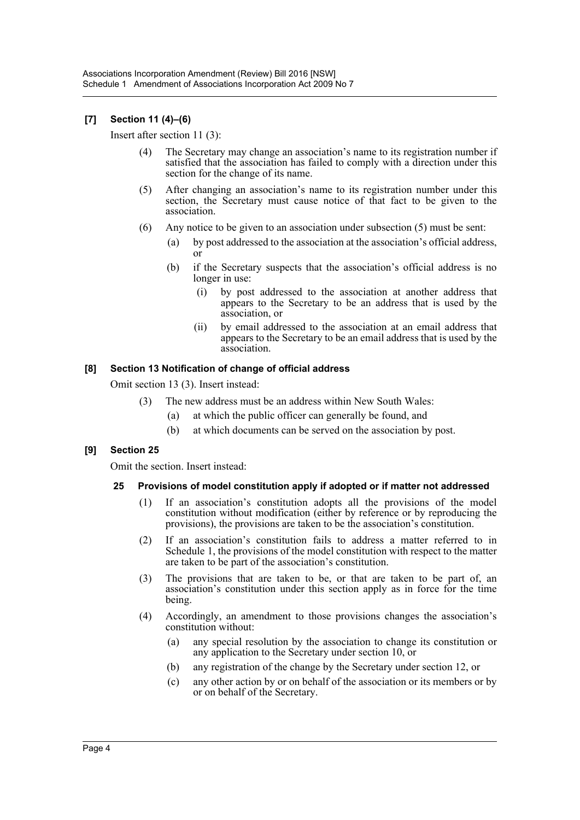## **[7] Section 11 (4)–(6)**

Insert after section 11 (3):

- (4) The Secretary may change an association's name to its registration number if satisfied that the association has failed to comply with a direction under this section for the change of its name.
- (5) After changing an association's name to its registration number under this section, the Secretary must cause notice of that fact to be given to the association.
- (6) Any notice to be given to an association under subsection (5) must be sent:
	- (a) by post addressed to the association at the association's official address, or
	- (b) if the Secretary suspects that the association's official address is no longer in use:
		- (i) by post addressed to the association at another address that appears to the Secretary to be an address that is used by the association, or
		- (ii) by email addressed to the association at an email address that appears to the Secretary to be an email address that is used by the association.

## **[8] Section 13 Notification of change of official address**

Omit section 13 (3). Insert instead:

- (3) The new address must be an address within New South Wales:
	- (a) at which the public officer can generally be found, and
	- (b) at which documents can be served on the association by post.

## **[9] Section 25**

Omit the section. Insert instead:

#### **25 Provisions of model constitution apply if adopted or if matter not addressed**

- (1) If an association's constitution adopts all the provisions of the model constitution without modification (either by reference or by reproducing the provisions), the provisions are taken to be the association's constitution.
- (2) If an association's constitution fails to address a matter referred to in Schedule 1, the provisions of the model constitution with respect to the matter are taken to be part of the association's constitution.
- (3) The provisions that are taken to be, or that are taken to be part of, an association's constitution under this section apply as in force for the time being.
- (4) Accordingly, an amendment to those provisions changes the association's constitution without:
	- (a) any special resolution by the association to change its constitution or any application to the Secretary under section 10, or
	- (b) any registration of the change by the Secretary under section 12, or
	- (c) any other action by or on behalf of the association or its members or by or on behalf of the Secretary.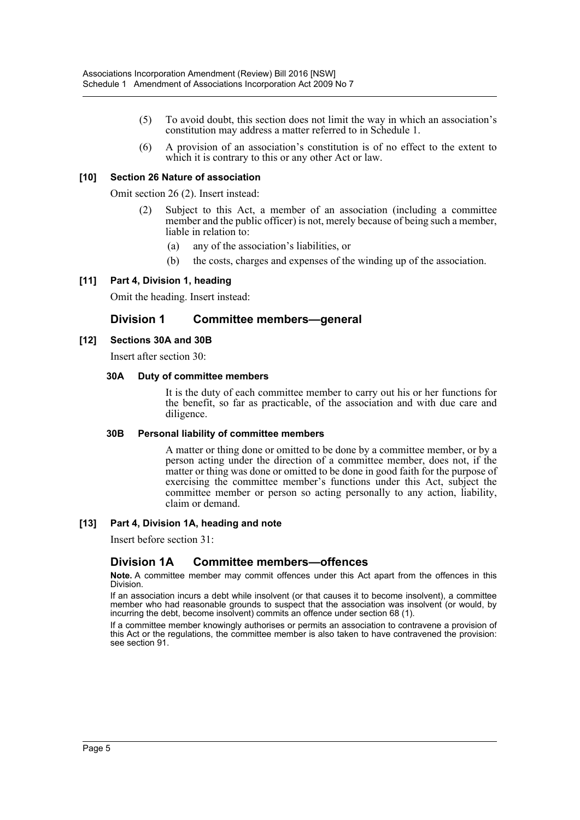- (5) To avoid doubt, this section does not limit the way in which an association's constitution may address a matter referred to in Schedule 1.
- (6) A provision of an association's constitution is of no effect to the extent to which it is contrary to this or any other Act or law.

#### **[10] Section 26 Nature of association**

Omit section 26 (2). Insert instead:

- (2) Subject to this Act, a member of an association (including a committee member and the public officer) is not, merely because of being such a member, liable in relation to:
	- (a) any of the association's liabilities, or
	- (b) the costs, charges and expenses of the winding up of the association.

#### **[11] Part 4, Division 1, heading**

Omit the heading. Insert instead:

## **Division 1 Committee members—general**

#### **[12] Sections 30A and 30B**

Insert after section 30:

#### **30A Duty of committee members**

It is the duty of each committee member to carry out his or her functions for the benefit, so far as practicable, of the association and with due care and diligence.

#### **30B Personal liability of committee members**

A matter or thing done or omitted to be done by a committee member, or by a person acting under the direction of a committee member, does not, if the matter or thing was done or omitted to be done in good faith for the purpose of exercising the committee member's functions under this Act, subject the committee member or person so acting personally to any action, liability, claim or demand.

#### **[13] Part 4, Division 1A, heading and note**

Insert before section 31:

#### **Division 1A Committee members—offences**

**Note.** A committee member may commit offences under this Act apart from the offences in this Division.

If an association incurs a debt while insolvent (or that causes it to become insolvent), a committee member who had reasonable grounds to suspect that the association was insolvent (or would, by incurring the debt, become insolvent) commits an offence under section 68 (1).

If a committee member knowingly authorises or permits an association to contravene a provision of this Act or the regulations, the committee member is also taken to have contravened the provision: see section 91.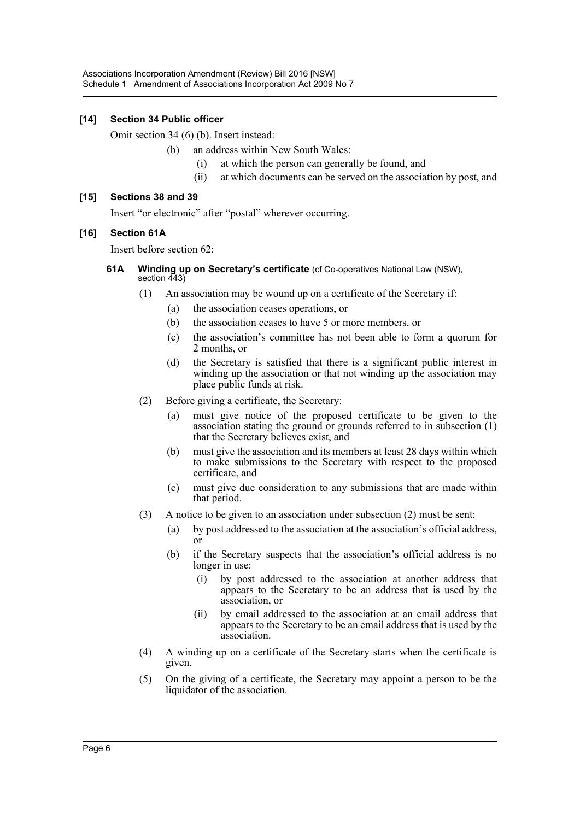## **[14] Section 34 Public officer**

Omit section 34 (6) (b). Insert instead:

- (b) an address within New South Wales:
	- (i) at which the person can generally be found, and
	- (ii) at which documents can be served on the association by post, and

#### **[15] Sections 38 and 39**

Insert "or electronic" after "postal" wherever occurring.

#### **[16] Section 61A**

Insert before section 62:

#### **61A Winding up on Secretary's certificate** (cf Co-operatives National Law (NSW), section 443)

- (1) An association may be wound up on a certificate of the Secretary if:
	- (a) the association ceases operations, or
	- (b) the association ceases to have 5 or more members, or
	- (c) the association's committee has not been able to form a quorum for 2 months, or
	- (d) the Secretary is satisfied that there is a significant public interest in winding up the association or that not winding up the association may place public funds at risk.
- (2) Before giving a certificate, the Secretary:
	- (a) must give notice of the proposed certificate to be given to the association stating the ground or grounds referred to in subsection (1) that the Secretary believes exist, and
	- (b) must give the association and its members at least 28 days within which to make submissions to the Secretary with respect to the proposed certificate, and
	- (c) must give due consideration to any submissions that are made within that period.
- (3) A notice to be given to an association under subsection (2) must be sent:
	- (a) by post addressed to the association at the association's official address, or
	- (b) if the Secretary suspects that the association's official address is no longer in use:
		- (i) by post addressed to the association at another address that appears to the Secretary to be an address that is used by the association, or
		- (ii) by email addressed to the association at an email address that appears to the Secretary to be an email address that is used by the association.
- (4) A winding up on a certificate of the Secretary starts when the certificate is given.
- (5) On the giving of a certificate, the Secretary may appoint a person to be the liquidator of the association.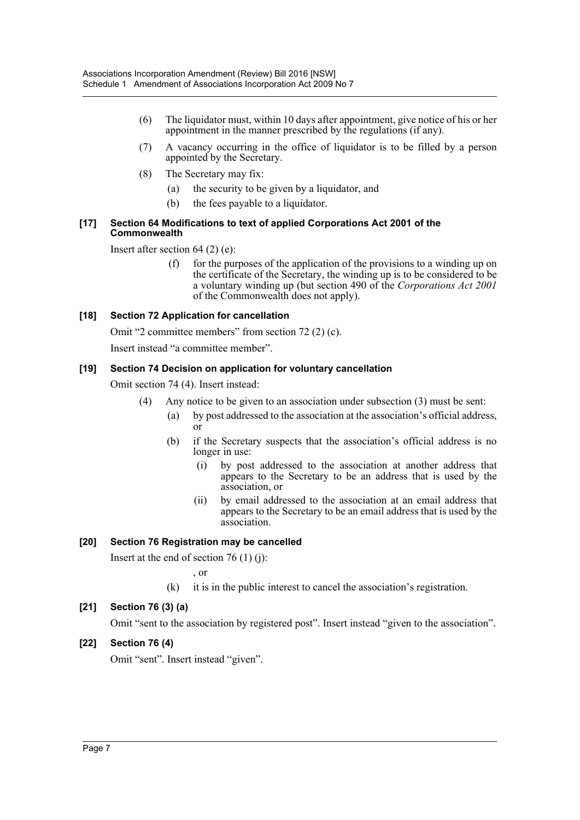- (6) The liquidator must, within 10 days after appointment, give notice of his or her appointment in the manner prescribed by the regulations (if any).
- (7) A vacancy occurring in the office of liquidator is to be filled by a person appointed by the Secretary.
- (8) The Secretary may fix:
	- (a) the security to be given by a liquidator, and
	- (b) the fees payable to a liquidator.

#### **[17] Section 64 Modifications to text of applied Corporations Act 2001 of the Commonwealth**

Insert after section 64 (2) (e):

(f) for the purposes of the application of the provisions to a winding up on the certificate of the Secretary, the winding up is to be considered to be a voluntary winding up (but section 490 of the *Corporations Act 2001* of the Commonwealth does not apply).

## **[18] Section 72 Application for cancellation**

Omit "2 committee members" from section 72 (2) (c).

Insert instead "a committee member".

## **[19] Section 74 Decision on application for voluntary cancellation**

Omit section 74 (4). Insert instead:

- (4) Any notice to be given to an association under subsection (3) must be sent:
	- (a) by post addressed to the association at the association's official address, or
	- (b) if the Secretary suspects that the association's official address is no longer in use:
		- (i) by post addressed to the association at another address that appears to the Secretary to be an address that is used by the association, or
		- (ii) by email addressed to the association at an email address that appears to the Secretary to be an email address that is used by the association.

## **[20] Section 76 Registration may be cancelled**

Insert at the end of section 76  $(1)$  (j):

, or

(k) it is in the public interest to cancel the association's registration.

#### **[21] Section 76 (3) (a)**

Omit "sent to the association by registered post". Insert instead "given to the association".

#### **[22] Section 76 (4)**

Omit "sent". Insert instead "given".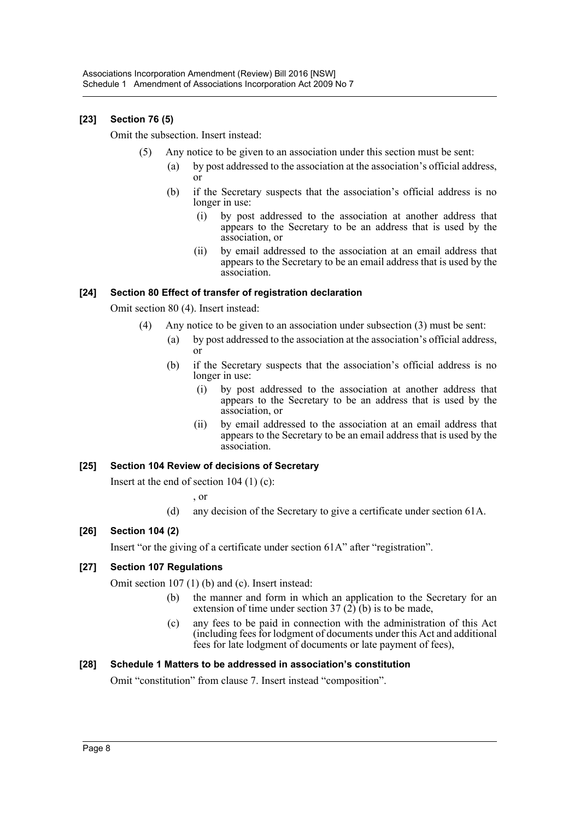## **[23] Section 76 (5)**

Omit the subsection. Insert instead:

- (5) Any notice to be given to an association under this section must be sent:
	- (a) by post addressed to the association at the association's official address, or
	- (b) if the Secretary suspects that the association's official address is no longer in use:
		- (i) by post addressed to the association at another address that appears to the Secretary to be an address that is used by the association, or
		- (ii) by email addressed to the association at an email address that appears to the Secretary to be an email address that is used by the association.

## **[24] Section 80 Effect of transfer of registration declaration**

Omit section 80 (4). Insert instead:

- (4) Any notice to be given to an association under subsection (3) must be sent:
	- (a) by post addressed to the association at the association's official address, or
	- (b) if the Secretary suspects that the association's official address is no longer in use:
		- (i) by post addressed to the association at another address that appears to the Secretary to be an address that is used by the association, or
		- (ii) by email addressed to the association at an email address that appears to the Secretary to be an email address that is used by the association.

#### **[25] Section 104 Review of decisions of Secretary**

Insert at the end of section 104 (1) (c):

, or

(d) any decision of the Secretary to give a certificate under section 61A.

## **[26] Section 104 (2)**

Insert "or the giving of a certificate under section 61A" after "registration".

## **[27] Section 107 Regulations**

Omit section 107 (1) (b) and (c). Insert instead:

- (b) the manner and form in which an application to the Secretary for an extension of time under section 37 (2) (b) is to be made,
- (c) any fees to be paid in connection with the administration of this Act (including fees for lodgment of documents under this Act and additional fees for late lodgment of documents or late payment of fees),

## **[28] Schedule 1 Matters to be addressed in association's constitution**

Omit "constitution" from clause 7. Insert instead "composition".